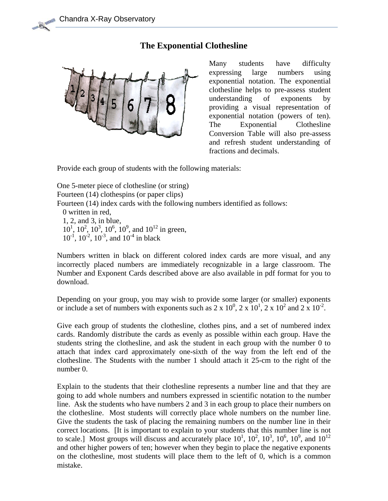## **The Exponential Clothesline**



Many students have difficulty expressing large numbers using exponential notation. The exponential clothesline helps to pre-assess student understanding of exponents by providing a visual representation of exponential notation (powers of ten). The Exponential Clothesline Conversion Table will also pre-assess and refresh student understanding of fractions and decimals.

Provide each group of students with the following materials:

One 5-meter piece of clothesline (or string) Fourteen (14) clothespins (or paper clips) Fourteen (14) index cards with the following numbers identified as follows: 0 written in red, 1, 2, and 3, in blue,  $10^1$ ,  $10^2$ ,  $10^3$ ,  $10^6$ ,  $10^9$ , and  $10^{12}$  in green,  $10^{-1}$ ,  $10^{-2}$ ,  $10^{-3}$ , and  $10^{-4}$  in black

Numbers written in black on different colored index cards are more visual, and any incorrectly placed numbers are immediately recognizable in a large classroom. The Number and Exponent Cards described above are also available in pdf format for you to download.

Depending on your group, you may wish to provide some larger (or smaller) exponents or include a set of numbers with exponents such as  $2 \times 10^0$ ,  $2 \times 10^1$ ,  $2 \times 10^2$  and  $2 \times 10^{-2}$ .

Give each group of students the clothesline, clothes pins, and a set of numbered index cards. Randomly distribute the cards as evenly as possible within each group. Have the students string the clothesline, and ask the student in each group with the number 0 to attach that index card approximately one-sixth of the way from the left end of the clothesline. The Students with the number 1 should attach it 25-cm to the right of the number 0.

Explain to the students that their clothesline represents a number line and that they are going to add whole numbers and numbers expressed in scientific notation to the number line. Ask the students who have numbers 2 and 3 in each group to place their numbers on the clothesline. Most students will correctly place whole numbers on the number line. Give the students the task of placing the remaining numbers on the number line in their correct locations. [It is important to explain to your students that this number line is not to scale.] Most groups will discuss and accurately place  $10^1$ ,  $10^2$ ,  $10^3$ ,  $10^6$ ,  $10^9$ , and  $10^{12}$ and other higher powers of ten; however when they begin to place the negative exponents on the clothesline, most students will place them to the left of 0, which is a common mistake.